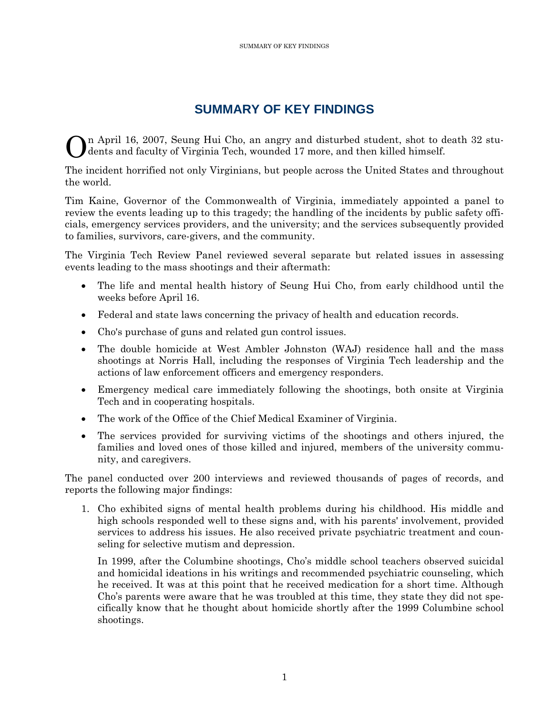## **SUMMARY OF KEY FINDINGS**

On April 16, 2007, Seung Hui Cho, an angry and disturbed student, shot to death 32 stu-<br>Odents and faculty of Virginia Tech, wounded 17 more, and then killed himself. dents and faculty of Virginia Tech, wounded 17 more, and then killed himself.

The incident horrified not only Virginians, but people across the United States and throughout the world.

Tim Kaine, Governor of the Commonwealth of Virginia, immediately appointed a panel to review the events leading up to this tragedy; the handling of the incidents by public safety officials, emergency services providers, and the university; and the services subsequently provided to families, survivors, care-givers, and the community.

The Virginia Tech Review Panel reviewed several separate but related issues in assessing events leading to the mass shootings and their aftermath:

- The life and mental health history of Seung Hui Cho, from early childhood until the weeks before April 16.
- Federal and state laws concerning the privacy of health and education records.
- Cho's purchase of guns and related gun control issues.
- The double homicide at West Ambler Johnston (WAJ) residence hall and the mass shootings at Norris Hall, including the responses of Virginia Tech leadership and the actions of law enforcement officers and emergency responders.
- Emergency medical care immediately following the shootings, both onsite at Virginia Tech and in cooperating hospitals.
- The work of the Office of the Chief Medical Examiner of Virginia.
- The services provided for surviving victims of the shootings and others injured, the families and loved ones of those killed and injured, members of the university community, and caregivers.

The panel conducted over 200 interviews and reviewed thousands of pages of records, and reports the following major findings:

1. Cho exhibited signs of mental health problems during his childhood. His middle and high schools responded well to these signs and, with his parents' involvement, provided services to address his issues. He also received private psychiatric treatment and counseling for selective mutism and depression.

In 1999, after the Columbine shootings, Cho's middle school teachers observed suicidal and homicidal ideations in his writings and recommended psychiatric counseling, which he received. It was at this point that he received medication for a short time. Although Cho's parents were aware that he was troubled at this time, they state they did not specifically know that he thought about homicide shortly after the 1999 Columbine school shootings.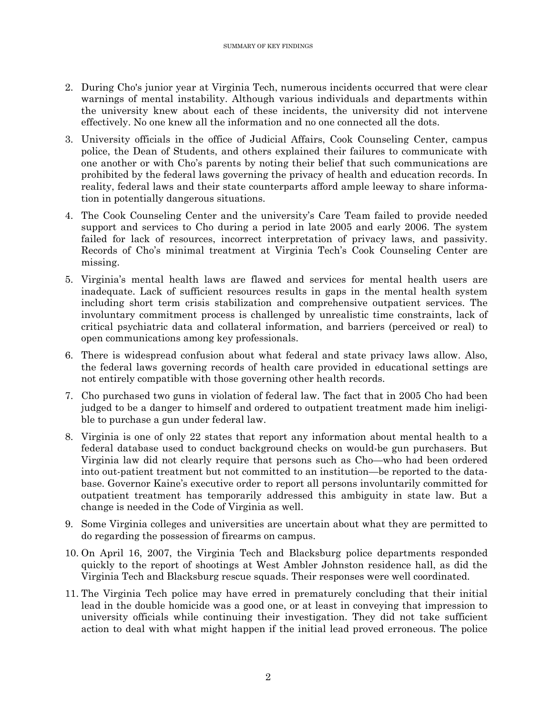- 2. During Cho's junior year at Virginia Tech, numerous incidents occurred that were clear warnings of mental instability. Although various individuals and departments within the university knew about each of these incidents, the university did not intervene effectively. No one knew all the information and no one connected all the dots.
- 3. University officials in the office of Judicial Affairs, Cook Counseling Center, campus police, the Dean of Students, and others explained their failures to communicate with one another or with Cho's parents by noting their belief that such communications are prohibited by the federal laws governing the privacy of health and education records. In reality, federal laws and their state counterparts afford ample leeway to share information in potentially dangerous situations.
- 4. The Cook Counseling Center and the university's Care Team failed to provide needed support and services to Cho during a period in late 2005 and early 2006. The system failed for lack of resources, incorrect interpretation of privacy laws, and passivity. Records of Cho's minimal treatment at Virginia Tech's Cook Counseling Center are missing.
- 5. Virginia's mental health laws are flawed and services for mental health users are inadequate. Lack of sufficient resources results in gaps in the mental health system including short term crisis stabilization and comprehensive outpatient services. The involuntary commitment process is challenged by unrealistic time constraints, lack of critical psychiatric data and collateral information, and barriers (perceived or real) to open communications among key professionals.
- 6. There is widespread confusion about what federal and state privacy laws allow. Also, the federal laws governing records of health care provided in educational settings are not entirely compatible with those governing other health records.
- 7. Cho purchased two guns in violation of federal law. The fact that in 2005 Cho had been judged to be a danger to himself and ordered to outpatient treatment made him ineligible to purchase a gun under federal law.
- 8. Virginia is one of only 22 states that report any information about mental health to a federal database used to conduct background checks on would-be gun purchasers. But Virginia law did not clearly require that persons such as Cho—who had been ordered into out-patient treatment but not committed to an institution—be reported to the database. Governor Kaine's executive order to report all persons involuntarily committed for outpatient treatment has temporarily addressed this ambiguity in state law. But a change is needed in the Code of Virginia as well.
- 9. Some Virginia colleges and universities are uncertain about what they are permitted to do regarding the possession of firearms on campus.
- 10. On April 16, 2007, the Virginia Tech and Blacksburg police departments responded quickly to the report of shootings at West Ambler Johnston residence hall, as did the Virginia Tech and Blacksburg rescue squads. Their responses were well coordinated.
- 11. The Virginia Tech police may have erred in prematurely concluding that their initial lead in the double homicide was a good one, or at least in conveying that impression to university officials while continuing their investigation. They did not take sufficient action to deal with what might happen if the initial lead proved erroneous. The police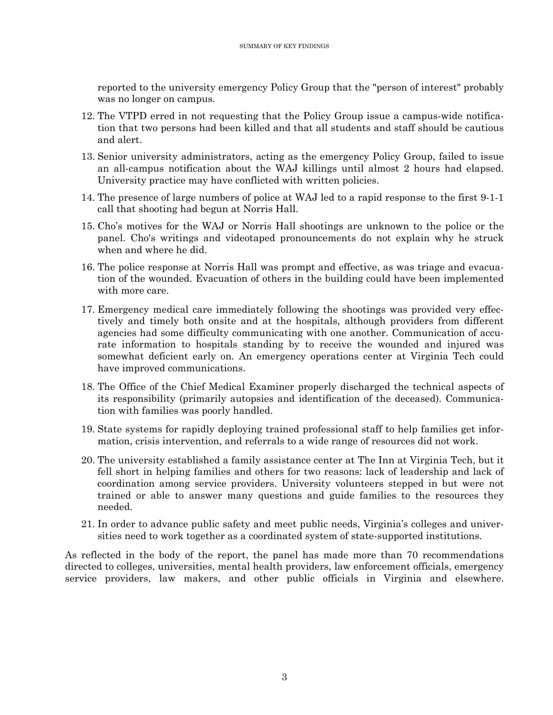reported to the university emergency Policy Group that the "person of interest" probably was no longer on campus.

- 12. The VTPD erred in not requesting that the Policy Group issue a campus-wide notification that two persons had been killed and that all students and staff should be cautious and alert.
- 13. Senior university administrators, acting as the emergency Policy Group, failed to issue an all-campus notification about the WAJ killings until almost 2 hours had elapsed. University practice may have conflicted with written policies.
- 14. The presence of large numbers of police at WAJ led to a rapid response to the first 9-1-1 call that shooting had begun at Norris Hall.
- 15. Cho's motives for the WAJ or Norris Hall shootings are unknown to the police or the panel. Cho's writings and videotaped pronouncements do not explain why he struck when and where he did.
- 16. The police response at Norris Hall was prompt and effective, as was triage and evacuation of the wounded. Evacuation of others in the building could have been implemented with more care.
- 17. Emergency medical care immediately following the shootings was provided very effectively and timely both onsite and at the hospitals, although providers from different agencies had some difficulty communicating with one another. Communication of accurate information to hospitals standing by to receive the wounded and injured was somewhat deficient early on. An emergency operations center at Virginia Tech could have improved communications.
- 18. The Office of the Chief Medical Examiner properly discharged the technical aspects of its responsibility (primarily autopsies and identification of the deceased). Communication with families was poorly handled.
- 19. State systems for rapidly deploying trained professional staff to help families get information, crisis intervention, and referrals to a wide range of resources did not work.
- 20. The university established a family assistance center at The Inn at Virginia Tech, but it fell short in helping families and others for two reasons: lack of leadership and lack of coordination among service providers. University volunteers stepped in but were not trained or able to answer many questions and guide families to the resources they needed.
- 21. In order to advance public safety and meet public needs, Virginia's colleges and universities need to work together as a coordinated system of state-supported institutions.

As reflected in the body of the report, the panel has made more than 70 recommendations directed to colleges, universities, mental health providers, law enforcement officials, emergency service providers, law makers, and other public officials in Virginia and elsewhere.